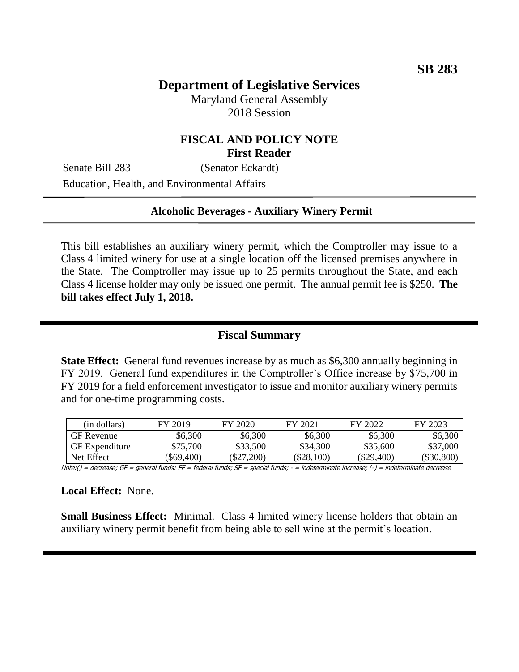# **Department of Legislative Services**

Maryland General Assembly 2018 Session

### **FISCAL AND POLICY NOTE First Reader**

Senate Bill 283 (Senator Eckardt)

Education, Health, and Environmental Affairs

#### **Alcoholic Beverages - Auxiliary Winery Permit**

This bill establishes an auxiliary winery permit, which the Comptroller may issue to a Class 4 limited winery for use at a single location off the licensed premises anywhere in the State. The Comptroller may issue up to 25 permits throughout the State, and each Class 4 license holder may only be issued one permit. The annual permit fee is \$250. **The bill takes effect July 1, 2018.**

#### **Fiscal Summary**

**State Effect:** General fund revenues increase by as much as \$6,300 annually beginning in FY 2019. General fund expenditures in the Comptroller's Office increase by \$75,700 in FY 2019 for a field enforcement investigator to issue and monitor auxiliary winery permits and for one-time programming costs.

| (in dollars)          | FY 2019    | FY 2020      | FY 2021  | FY 2022      | FY 2023    |
|-----------------------|------------|--------------|----------|--------------|------------|
| <b>GF</b> Revenue     | \$6,300    | \$6,300      | \$6,300  | \$6,300      | \$6,300    |
| <b>GF</b> Expenditure | \$75,700   | \$33,500     | \$34,300 | \$35,600     | \$37,000   |
| Net Effect            | (\$69.400) | $(\$27,200)$ | \$28,100 | $(\$29,400)$ | (\$30,800) |

Note:() = decrease; GF = general funds; FF = federal funds; SF = special funds; - = indeterminate increase; (-) = indeterminate decrease

**Local Effect:** None.

**Small Business Effect:** Minimal. Class 4 limited winery license holders that obtain an auxiliary winery permit benefit from being able to sell wine at the permit's location.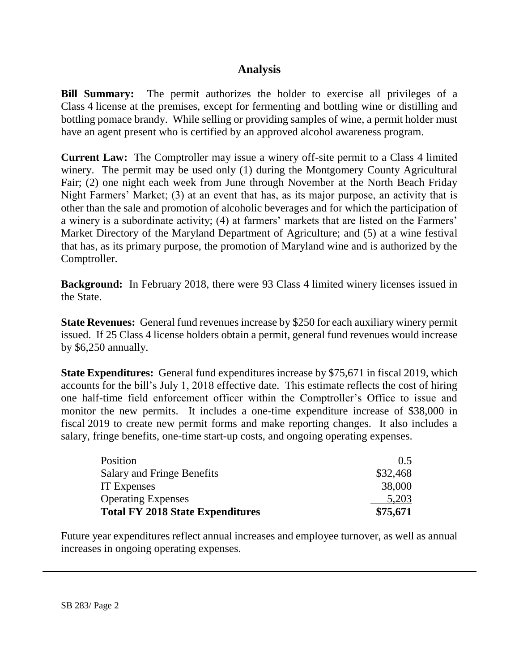### **Analysis**

**Bill Summary:** The permit authorizes the holder to exercise all privileges of a Class 4 license at the premises, except for fermenting and bottling wine or distilling and bottling pomace brandy. While selling or providing samples of wine, a permit holder must have an agent present who is certified by an approved alcohol awareness program.

**Current Law:** The Comptroller may issue a winery off-site permit to a Class 4 limited winery. The permit may be used only (1) during the Montgomery County Agricultural Fair; (2) one night each week from June through November at the North Beach Friday Night Farmers' Market; (3) at an event that has, as its major purpose, an activity that is other than the sale and promotion of alcoholic beverages and for which the participation of a winery is a subordinate activity; (4) at farmers' markets that are listed on the Farmers' Market Directory of the Maryland Department of Agriculture; and (5) at a wine festival that has, as its primary purpose, the promotion of Maryland wine and is authorized by the Comptroller.

**Background:** In February 2018, there were 93 Class 4 limited winery licenses issued in the State.

**State Revenues:** General fund revenues increase by \$250 for each auxiliary winery permit issued. If 25 Class 4 license holders obtain a permit, general fund revenues would increase by \$6,250 annually.

**State Expenditures:** General fund expenditures increase by \$75,671 in fiscal 2019, which accounts for the bill's July 1, 2018 effective date. This estimate reflects the cost of hiring one half-time field enforcement officer within the Comptroller's Office to issue and monitor the new permits. It includes a one-time expenditure increase of \$38,000 in fiscal 2019 to create new permit forms and make reporting changes. It also includes a salary, fringe benefits, one-time start-up costs, and ongoing operating expenses.

| Position                                | $0.5^{\circ}$ |
|-----------------------------------------|---------------|
| Salary and Fringe Benefits              | \$32,468      |
| <b>IT</b> Expenses                      | 38,000        |
| <b>Operating Expenses</b>               | 5,203         |
| <b>Total FY 2018 State Expenditures</b> | \$75,671      |

Future year expenditures reflect annual increases and employee turnover, as well as annual increases in ongoing operating expenses.